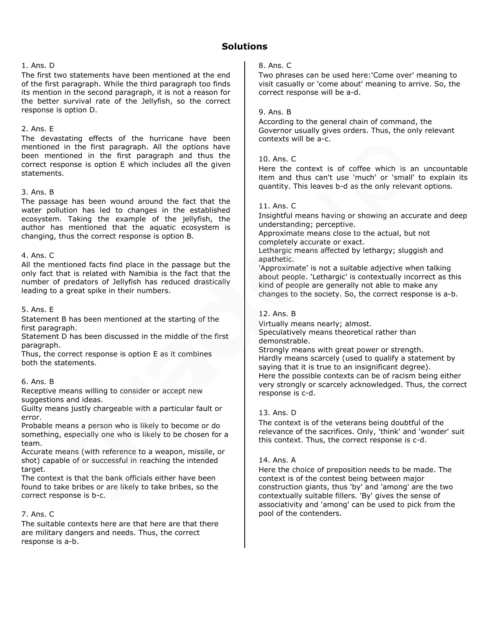# **Solutions**

## 1. Ans. D

The first two statements have been mentioned at the end of the first paragraph. While the third paragraph too finds its mention in the second paragraph, it is not a reason for the better survival rate of the Jellyfish, so the correct response is option D.

## 2. Ans. E

The devastating effects of the hurricane have been mentioned in the first paragraph. All the options have been mentioned in the first paragraph and thus the correct response is option E which includes all the given statements.

## 3. Ans. B

The passage has been wound around the fact that the water pollution has led to changes in the established ecosystem. Taking the example of the jellyfish, the author has mentioned that the aquatic ecosystem is changing, thus the correct response is option B.

## 4. Ans. C

All the mentioned facts find place in the passage but the only fact that is related with Namibia is the fact that the number of predators of Jellyfish has reduced drastically leading to a great spike in their numbers.

## 5. Ans. E

Statement B has been mentioned at the starting of the first paragraph.

Statement D has been discussed in the middle of the first paragraph.

Thus, the correct response is option E as it combines both the statements.

## 6. Ans. B

Receptive means willing to consider or accept new suggestions and ideas.

Guilty means justly chargeable with a particular fault or error.

Probable means a person who is likely to become or do something, especially one who is likely to be chosen for a team.

Accurate means (with reference to a weapon, missile, or shot) capable of or successful in reaching the intended target.

The context is that the bank officials either have been found to take bribes or are likely to take bribes, so the correct response is b-c.

## 7. Ans. C

The suitable contexts here are that here are that there are military dangers and needs. Thus, the correct response is a-b.

## 8. Ans. C

Two phrases can be used here:'Come over' meaning to visit casually or 'come about' meaning to arrive. So, the correct response will be a-d.

## 9. Ans. B

According to the general chain of command, the Governor usually gives orders. Thus, the only relevant contexts will be a-c.

## 10. Ans. C

Here the context is of coffee which is an uncountable item and thus can't use 'much' or 'small' to explain its quantity. This leaves b-d as the only relevant options.

## 11. Ans. C

Insightful means having or showing an accurate and deep understanding; perceptive.

Approximate means close to the actual, but not completely accurate or exact.

Lethargic means affected by lethargy; sluggish and apathetic.

'Approximate' is not a suitable adjective when talking about people. 'Lethargic' is contextually incorrect as this kind of people are generally not able to make any changes to the society. So, the correct response is a-b.

## 12. Ans. B

Virtually means nearly; almost. Speculatively means theoretical rather than demonstrable.

Strongly means with great power or strength. Hardly means scarcely (used to qualify a statement by saying that it is true to an insignificant degree). Here the possible contexts can be of racism being either very strongly or scarcely acknowledged. Thus, the correct response is c-d.

## 13. Ans. D

The context is of the veterans being doubtful of the relevance of the sacrifices. Only, 'think' and 'wonder' suit this context. Thus, the correct response is c-d.

## 14. Ans. A

Here the choice of preposition needs to be made. The context is of the contest being between major construction giants, thus 'by' and 'among' are the two contextually suitable fillers. 'By' gives the sense of associativity and 'among' can be used to pick from the pool of the contenders.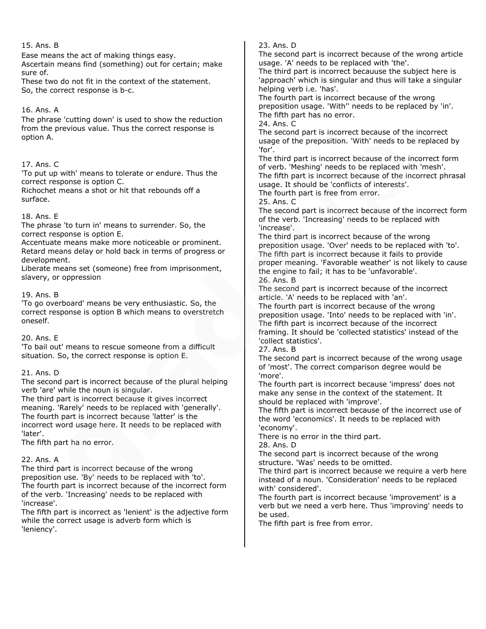## 15. Ans. B

Ease means the act of making things easy.

Ascertain means find (something) out for certain; make sure of.

These two do not fit in the context of the statement. So, the correct response is b-c.

## 16. Ans. A

The phrase 'cutting down' is used to show the reduction from the previous value. Thus the correct response is option A.

## 17. Ans. C

'To put up with' means to tolerate or endure. Thus the correct response is option C.

Richochet means a shot or hit that rebounds off a surface.

## 18. Ans. E

The phrase 'to turn in' means to surrender. So, the correct response is option E.

Accentuate means make more noticeable or prominent. Retard means delay or hold back in terms of progress or development.

Liberate means set (someone) free from imprisonment, slavery, or oppression

## 19. Ans. B

'To go overboard' means be very enthusiastic. So, the correct response is option B which means to overstretch oneself.

## 20. Ans. E

'To bail out' means to rescue someone from a difficult situation. So, the correct response is option E.

## 21. Ans. D

The second part is incorrect because of the plural helping verb 'are' while the noun is singular.

The third part is incorrect because it gives incorrect meaning. 'Rarely' needs to be replaced with 'generally'. The fourth part is incorrect because 'latter' is the incorrect word usage here. It needs to be replaced with 'later'.

The fifth part ha no error.

## 22. Ans. A

The third part is incorrect because of the wrong preposition use. 'By' needs to be replaced with 'to'. The fourth part is incorrect because of the incorrect form of the verb. 'Increasing' needs to be replaced with 'increase'.

The fifth part is incorrect as 'lenient' is the adjective form while the correct usage is adverb form which is 'leniency'.

23. Ans. D

The second part is incorrect because of the wrong article usage. 'A' needs to be replaced with 'the'.

The third part is incorrect becauuse the subject here is 'approach' which is singular and thus will take a singular helping verb i.e. 'has'.

The fourth part is incorrect because of the wrong preposition usage. 'With'' needs to be replaced by 'in'. The fifth part has no error.

24. Ans. C

The second part is incorrect because of the incorrect usage of the preposition. 'With' needs to be replaced by 'for'.

The third part is incorrect because of the incorrect form of verb. 'Meshing' needs to be replaced with 'mesh'. The fifth part is incorrect because of the incorrect phrasal usage. It should be 'conflicts of interests'. The fourth part is free from error.

25. Ans. C

The second part is incorrect because of the incorrect form of the verb. 'Increasing' needs to be replaced with 'increase'.

The third part is incorrect because of the wrong preposition usage. 'Over' needs to be replaced with 'to'. The fifth part is incorrect because it fails to provide proper meaning. 'Favorable weather' is not likely to cause the engine to fail; it has to be 'unfavorable'. 26. Ans. B

The second part is incorrect because of the incorrect article. 'A' needs to be replaced with 'an'.

The fourth part is incorrect because of the wrong preposition usage. 'Into' needs to be replaced with 'in'. The fifth part is incorrect because of the incorrect framing. It should be 'collected statistics' instead of the 'collect statistics'.

27. Ans. B

The second part is incorrect because of the wrong usage of 'most'. The correct comparison degree would be 'more'.

The fourth part is incorrect because 'impress' does not make any sense in the context of the statement. It should be replaced with 'improve'.

The fifth part is incorrect because of the incorrect use of the word 'economics'. It needs to be replaced with 'economy'.

There is no error in the third part.

28. Ans. D

The second part is incorrect because of the wrong structure. 'Was' needs to be omitted.

The third part is incorrect because we require a verb here instead of a noun. 'Consideration' needs to be replaced with' considered'.

The fourth part is incorrect because 'improvement' is a verb but we need a verb here. Thus 'improving' needs to be used.

The fifth part is free from error.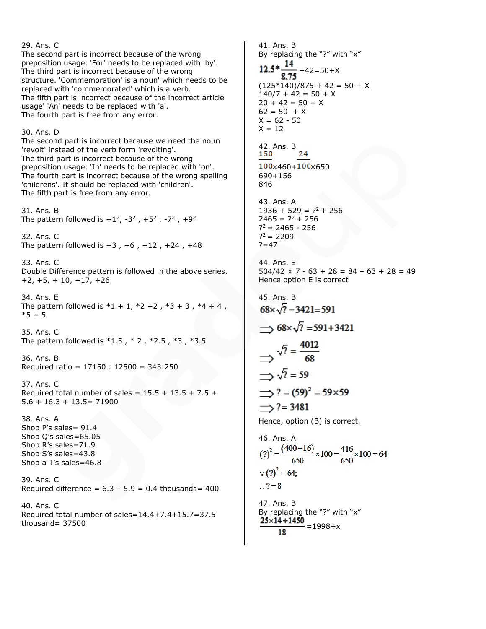29. Ans. C 41. Ans. B The second part is incorrect because of the wrong preposition usage. 'For' needs to be replaced with 'by'. The third part is incorrect because of the wrong structure. 'Commemoration' is a noun' which needs to be replaced with 'commemorated' which is a verb.  $140/7 + 42 = 50 + X$ The fifth part is incorrect because of the incorrect article  $20 + 42 = 50 + X$ usage' 'An' needs to be replaced with 'a'.  $62 = 50 + X$ The fourth part is free from any error.  $X = 62 - 50$  $X = 12$ 30. Ans. D The second part is incorrect because we need the noun 42. Ans. B 'revolt' instead of the verb form 'revolting'. 24 The third part is incorrect because of the wrong  $100 \times 460 + 100 \times 650$ preposition usage. 'In' needs to be replaced with 'on'. The fourth part is incorrect because of the wrong spelling 690+156 'childrens'. It should be replaced with 'children'. 846 The fifth part is free from any error. 43. Ans. A 31. Ans. B  $2465 = ?^2 + 256$ The pattern followed is  $+1^2$ ,  $-3^2$  ,  $+5^2$  ,  $-7^2$  ,  $+9^2$  $?^2$  = 2465 - 256  $?^2 = 2209$ 32. Ans. C The pattern followed is  $+3$ ,  $+6$ ,  $+12$ ,  $+24$ ,  $+48$  $? = 47$ 44. Ans. E 33. Ans. C Double Difference pattern is followed in the above series. +2, +5, + 10, +17, +26 45. Ans. B 34. Ans. E The pattern followed is  $*1 + 1$ ,  $*2 + 2$ ,  $*3 + 3$ ,  $*4 + 4$ ,  $68 \times \sqrt{7} - 3421 = 591$  $*5 + 5$ 35. Ans. C The pattern followed is \*1.5 , \* 2 , \*2.5 , \*3 , \*3.5  $\sqrt{?} = \frac{4012}{68}$ 36. Ans. B Required ratio = 17150 : 12500 = 343:250  $\Rightarrow \sqrt{?} = 59$ 37. Ans. C Required total number of sales =  $15.5 + 13.5 + 7.5 +$ 5.6 + 16.3 + 13.5= 71900  $\rightarrow$  ? = 3481 38. Ans. A Shop P's sales= 91.4 Shop Q's sales=65.05 46. Ans. A Shop R's sales=71.9 Shop S's sales=43.8 Shop a T's sales=46.8  $\because$  (?)<sup>2</sup> = 64; 39. Ans. C  $\therefore$  ? = 8 Required difference =  $6.3 - 5.9 = 0.4$  thousands= 400 47. Ans. B 40. Ans. C Required total number of sales=14.4+7.4+15.7=37.5 thousand= 37500 18

By replacing the "?" with "x"  $+42=50+X$  $(125*140)/875 + 42 = 50 + X$  $1936 + 529 = ?^2 + 256$  $504/42 \times 7 - 63 + 28 = 84 - 63 + 28 = 49$ Hence option E is correct  $\rightarrow$  68× $\sqrt{?}$  = 591+3421  $\implies$  ? = (59)<sup>2</sup> = 59×59 Hence, option (B) is correct.  $(?)^2 = \frac{(400+16)}{650} \times 100 = \frac{416}{650} \times 100 = 64$ 

By replacing the "?" with "x"  $\frac{25 \times 14 + 1450}{2} = 1998 \div x$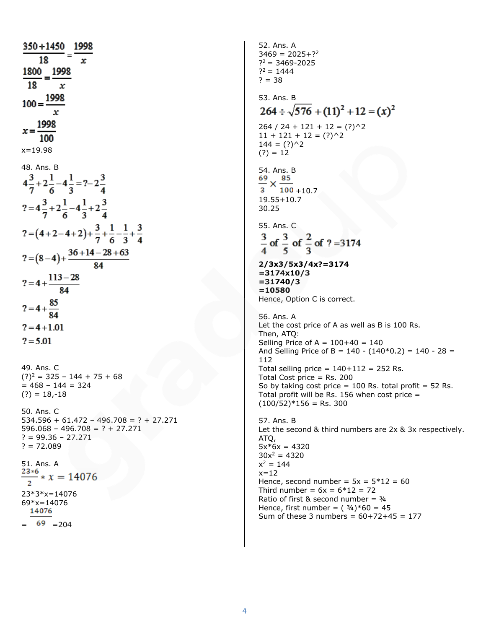350+1450 1998 = 18  $\frac{1800}{18} = \frac{1998}{x}$  $\mathbf{x}$  $100 = \frac{1998}{x}$  $x = \frac{1998}{100}$  $x = 19.98$ 48. Ans. B<br> $4\frac{3}{7}+2\frac{1}{6}-4\frac{1}{3}=?-2\frac{3}{4}$  $x=4\frac{3}{7}+2\frac{1}{6}-4\frac{1}{3}+2\frac{3}{4}$  $? = (4+2-4+2)+\frac{3}{7}+\frac{1}{6}-\frac{1}{3}+\frac{3}{4}$  $? = (8-4) + \frac{36+14-28+63}{84}$  $? = 4 + \frac{113 - 28}{84}$  $? = 4 + \frac{85}{84}$  $? = 4 + 1.01$  $? = 5.01$ 49. Ans. C  $(?)<sup>2</sup> = 325 - 144 + 75 + 68$  $= 468 - 144 = 324$  $(?) = 18,-18$ 50. Ans. C  $534.596 + 61.472 - 496.708 = ? + 27.271$  $596.068 - 496.708 = ? + 27.271$  $? = 99.36 - 27.271$  $? = 72.089$ 51. Ans. A  $23*6$  $-x = 14076$ 23\*3\*x=14076 69\*x=14076  $69 = 204$ 

52. Ans. A  $3469 = 2025 + 22$  $?^2 = 3469 - 2025$  $?^2 = 1444$  $? = 38$ 53. Ans. B  $264 \div \sqrt{576} + (11)^2 + 12 = (x)^2$  $264 / 24 + 121 + 12 = (?)$ <sup>2</sup>  $11 + 121 + 12 = (?)$ <sup>2</sup>  $144 = (?)^2$  $(?) = 12$ 54. Ans. B  $\frac{69}{3} \times \frac{85}{100}$  +10.7 19.55+10.7 30.25 55. Ans. C  $\frac{3}{4}$  of  $\frac{3}{5}$  of  $\frac{2}{3}$  of ? = 3174 **2/3x3/5x3/4x?=3174 =3174x10/3 =31740/3 =10580** Hence, Option C is correct. 56. Ans. A Let the cost price of A as well as B is 100 Rs. Then, ATQ: Selling Price of  $A = 100+40 = 140$ And Selling Price of B =  $140 - (140*0.2) = 140 - 28 =$ 112 Total selling price =  $140+112 = 252$  Rs. Total Cost price = Rs. 200 So by taking cost price  $= 100$  Rs. total profit  $= 52$  Rs. Total profit will be Rs. 156 when cost price  $=$  $(100/52)*156 =$  Rs. 300 57. Ans. B Let the second & third numbers are 2x & 3x respectively. ATQ,  $5x*6x = 4320$  $30x^2 = 4320$  $x^2 = 144$  $x=12$ Hence, second number =  $5x = 5*12 = 60$ Third number =  $6x = 6*12 = 72$ Ratio of first & second number =  $\frac{3}{4}$ Hence, first number =  $(34)^*60 = 45$ Sum of these 3 numbers =  $60+72+45 = 177$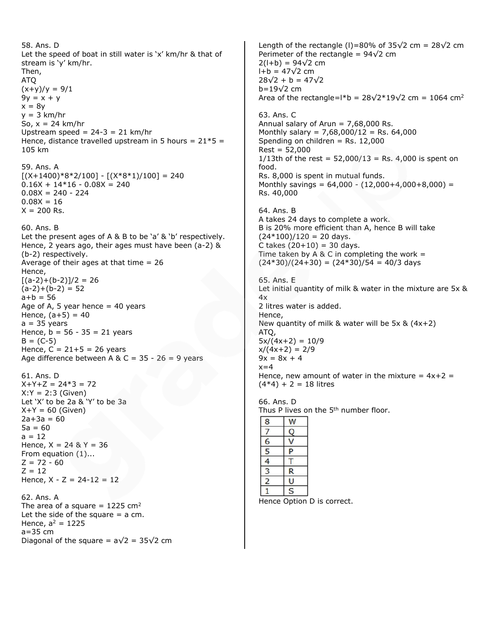58. Ans. D Let the speed of boat in still water is 'x' km/hr & that of stream is 'y' km/hr. Then, ATQ  $(x+y)/y = 9/1$  $9y = x + y$  $x = 8y$  $y = 3$  km/hr So,  $x = 24$  km/hr Upstream speed =  $24-3 = 21$  km/hr Hence, distance travelled upstream in 5 hours =  $21*5 =$ 105 km 59. Ans. A  $[(X+1400)*8*2/100] - [(X*8*1)/100] = 240$  $0.16X + 14*16 - 0.08X = 240$  $0.08X = 240 - 224$  $0.08X = 16$  $X = 200$  Rs. 60. Ans. B Let the present ages of A & B to be 'a' & 'b' respectively. Hence, 2 years ago, their ages must have been (a-2) & (b-2) respectively. Average of their ages at that time  $= 26$ Hence,  $[(a-2)+(b-2)]/2 = 26$  $(a-2)+(b-2) = 52$  $a + b = 56$ Age of A, 5 year hence  $=$  40 years Hence,  $(a+5) = 40$  $a = 35$  years Hence,  $b = 56 - 35 = 21$  years  $B = (C-5)$ Hence,  $C = 21 + 5 = 26$  years Age difference between A & C =  $35 - 26 = 9$  years 61. Ans. D  $X+Y+Z = 24*3 = 72$  $X:Y = 2:3$  (Given) Let 'X' to be 2a & 'Y' to be 3a  $X+Y = 60$  (Given)  $2a+3a = 60$  $5a = 60$  $a = 12$ Hence,  $X = 24 & 8Y = 36$ From equation (1)...  $Z = 72 - 60$  $Z = 12$ Hence,  $X - Z = 24 - 12 = 12$ 62. Ans. A The area of a square =  $1225$  cm<sup>2</sup> Let the side of the square  $=$  a cm. Hence,  $a^2 = 1225$ a=35 cm Diagonal of the square =  $a\sqrt{2}$  = 35 $\sqrt{2}$  cm

Length of the rectangle (I)=80% of 35 $\sqrt{2}$  cm = 28 $\sqrt{2}$  cm Perimeter of the rectangle =  $94\sqrt{2}$  cm  $2(l+b) = 94\sqrt{2}$  cm  $l + b = 47\sqrt{2}$  cm  $28\sqrt{2} + b = 47\sqrt{2}$ b=19√2 cm Area of the rectangle=l\*b =  $28\sqrt{2*19}\sqrt{2}$  cm = 1064 cm<sup>2</sup> 63. Ans. C Annual salary of Arun  $= 7,68,000$  Rs. Monthly salary =  $7,68,000/12$  = Rs. 64,000 Spending on children  $=$  Rs. 12,000  $Rest = 52,000$ 1/13th of the rest =  $52,000/13$  = Rs. 4,000 is spent on food. Rs. 8,000 is spent in mutual funds. Monthly savings =  $64,000 - (12,000+4,000+8,000) =$ Rs. 40,000 64. Ans. B A takes 24 days to complete a work. B is 20% more efficient than A, hence B will take  $(24*100)/120 = 20$  days. C takes  $(20+10) = 30$  days. Time taken by A & C in completing the work  $=$  $(24*30)/(24+30) = (24*30)/54 = 40/3$  days 65. Ans. E Let initial quantity of milk & water in the mixture are 5x & 4x 2 litres water is added. Hence, New quantity of milk & water will be 5x & (4x+2) ATQ,  $5x/(4x+2) = 10/9$  $x/(4x+2) = 2/9$  $9x = 8x + 4$  $x=4$ Hence, new amount of water in the mixture =  $4x+2 =$  $(4*4) + 2 = 18$  litres 66. Ans. D Thus P lives on the 5<sup>th</sup> number floor. 8 W  $\overline{7}$  $\mathsf Q$  $\overline{6}$  $\vee$ 5 P  $\overline{T}$  $\overline{4}$ 3  $\mathsf{R}$  $\overline{2}$  $\cup$  $\mathbf{1}$ S Hence Option D is correct.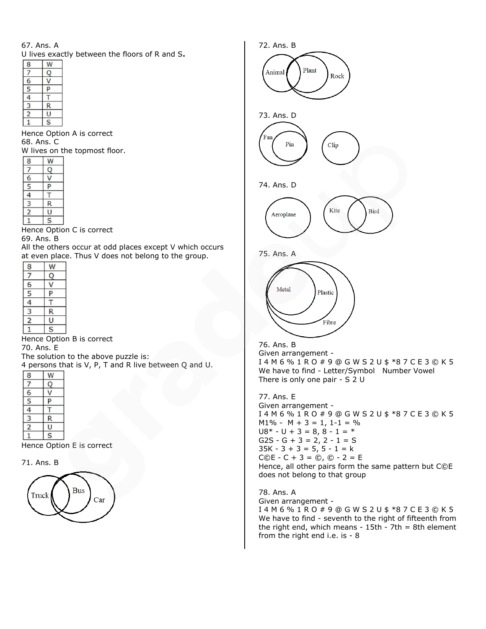## 67. Ans. A

U lives exactly between the floors of R and S**.**

| πνες εχαι      |   |  |  |  |  |  |  |
|----------------|---|--|--|--|--|--|--|
| 8              |   |  |  |  |  |  |  |
|                |   |  |  |  |  |  |  |
| 6              |   |  |  |  |  |  |  |
| $\overline{5}$ | P |  |  |  |  |  |  |
|                |   |  |  |  |  |  |  |
|                | R |  |  |  |  |  |  |
| 2              |   |  |  |  |  |  |  |
|                | S |  |  |  |  |  |  |

Hence Option A is correct 68. Ans. C

W lives on the topmost floor.

| 2             |   |
|---------------|---|
| з             | R |
|               |   |
| $\frac{1}{5}$ |   |
| 6             |   |
| 7             |   |
| 8             |   |

Hence Option C is correct

#### 69. Ans. B

All the others occur at odd places except V which occurs at even place. Thus V does not belong to the group.

| 8              |                         |
|----------------|-------------------------|
|                | Ų                       |
| 6              |                         |
| $\overline{5}$ |                         |
|                |                         |
| 3              |                         |
| 2              |                         |
|                | $\overline{\mathsf{s}}$ |

Hence Option B is correct 70. Ans. E

The solution to the above puzzle is: 4 persons that is V, P, T and R live between Q and U.

| 8              |   |
|----------------|---|
|                |   |
| 6              |   |
| $\overline{5}$ | P |
|                |   |
| 3              | R |
|                |   |
|                | S |

Hence Option E is correct







#### 76. Ans. B Given arrangement - I 4 M 6 % 1 R O # 9 @ G W S 2 U \$ \*8 7 C E 3 © K 5 We have to find - Letter/Symbol Number Vowel There is only one pair - S 2 U

77. Ans. E Given arrangement - I 4 M 6 % 1 R O # 9 @ G W S 2 U \$ \*8 7 C E 3 © K 5  $M1\% - M + 3 = 1, 1 - 1 = \%$  $U8* - U + 3 = 8, 8 - 1 = *$  $G2S - G + 3 = 2, 2 - 1 = S$  $35K - 3 + 3 = 5, 5 - 1 = k$  $C@E - C + 3 = \circled{c}$ ,  $\circledcirc - 2 = E$ Hence, all other pairs form the same pattern but C©E does not belong to that group

78. Ans. A Given arrangement - I 4 M 6 % 1 R O # 9 @ G W S 2 U \$ \*8 7 C E 3 © K 5 We have to find - seventh to the right of fifteenth from the right end, which means -  $15th - 7th = 8th$  element from the right end i.e. is - 8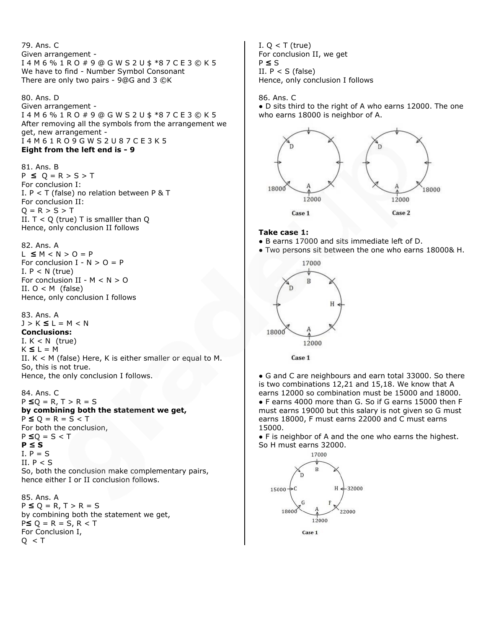79. Ans. C Given arrangement - I 4 M 6 % 1 R O # 9 @ G W S 2 U \$ \*8 7 C E 3 © K 5 We have to find - Number Symbol Consonant There are only two pairs - 9@G and 3 ©K

80. Ans. D Given arrangement - I 4 M 6 % 1 R O # 9 @ G W S 2 U \$ \*8 7 C E 3 © K 5 After removing all the symbols from the arrangement we get, new arrangement - I 4 M 6 1 R O 9 G W S 2 U 8 7 C E 3 K 5 **Eight from the left end is - 9**

81. Ans. B P **≤** Q = R > S > T For conclusion I: I.  $P < T$  (false) no relation between P & T For conclusion II:  $Q = R > S > T$ II.  $T < Q$  (true) T is smalller than  $Q$ Hence, only conclusion II follows

82. Ans. A L **≤** M < N > O = P For conclusion  $I - N > 0 = P$ I.  $P < N$  (true) For conclusion II -  $M < N > 0$ II.  $O < M$  (false) Hence, only conclusion I follows

83. Ans. A J > K **≤** L = M < N **Conclusions:** I.  $K < N$  (true) K **≤** L = M II.  $K < M$  (false) Here, K is either smaller or equal to M. So, this is not true. Hence, the only conclusion I follows.

84. Ans. C P **≤**Q = R, T > R = S **by combining both the statement we get,** P **≤** Q = R = S < T For both the conclusion, P **≤**Q = S < T **P ≤ S**  $I. P = S$ II.  $P < S$ So, both the conclusion make complementary pairs, hence either I or II conclusion follows.

85. Ans. A P **≤** Q = R, T > R = S by combining both the statement we get, P**≤** Q = R = S, R < T For Conclusion I,  $Q < T$ 

I.  $Q < T$  (true) For conclusion II, we get P **≤** S II.  $P < S$  (false) Hence, only conclusion I follows

86. Ans. C

● D sits third to the right of A who earns 12000. The one who earns 18000 is neighbor of A.



#### **Take case 1:**

- B earns 17000 and sits immediate left of D.
- Two persons sit between the one who earns 18000& H.



• G and C are neighbours and earn total 33000. So there is two combinations 12,21 and 15,18. We know that A earns 12000 so combination must be 15000 and 18000. ● F earns 4000 more than G. So if G earns 15000 then F must earns 19000 but this salary is not given so G must earns 18000, F must earns 22000 and C must earns 15000.

● F is neighbor of A and the one who earns the highest. So H must earns 32000.

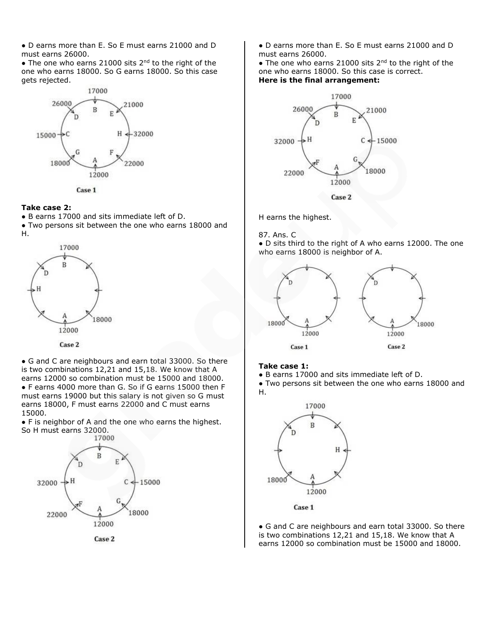● D earns more than E. So E must earns 21000 and D must earns 26000.

 $\bullet$  The one who earns 21000 sits 2<sup>nd</sup> to the right of the one who earns 18000. So G earns 18000. So this case gets rejected.



Case 1

## **Take case 2:**

● B earns 17000 and sits immediate left of D.

● Two persons sit between the one who earns 18000 and H.



• G and C are neighbours and earn total 33000. So there is two combinations 12,21 and 15,18. We know that A earns 12000 so combination must be 15000 and 18000. ● F earns 4000 more than G. So if G earns 15000 then F must earns 19000 but this salary is not given so G must earns 18000, F must earns 22000 and C must earns 15000.

• F is neighbor of A and the one who earns the highest. So H must earns 32000.



● D earns more than E. So E must earns 21000 and D must earns 26000.

 $\bullet$  The one who earns 21000 sits 2<sup>nd</sup> to the right of the one who earns 18000. So this case is correct. **Here is the final arrangement:**



H earns the highest.

87. Ans. C

● D sits third to the right of A who earns 12000. The one who earns 18000 is neighbor of A.



#### **Take case 1:**

● B earns 17000 and sits immediate left of D.

● Two persons sit between the one who earns 18000 and H.



Case 1

• G and C are neighbours and earn total 33000. So there is two combinations 12,21 and 15,18. We know that A earns 12000 so combination must be 15000 and 18000.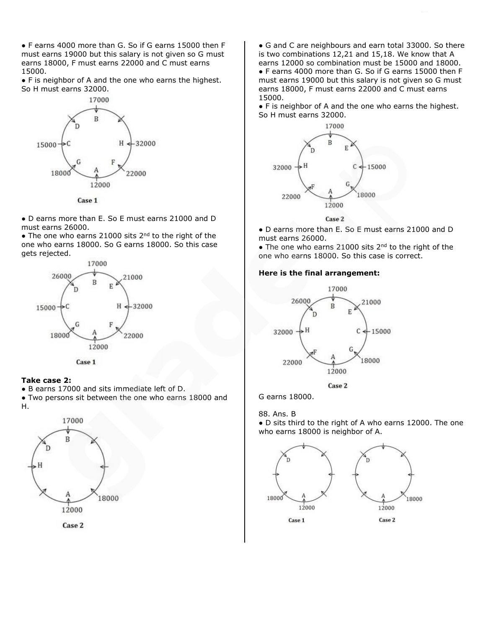● F earns 4000 more than G. So if G earns 15000 then F must earns 19000 but this salary is not given so G must earns 18000, F must earns 22000 and C must earns 15000.

● F is neighbor of A and the one who earns the highest. So H must earns 32000.



Case 1

● D earns more than E. So E must earns 21000 and D must earns 26000.

• The one who earns 21000 sits 2<sup>nd</sup> to the right of the one who earns 18000. So G earns 18000. So this case gets rejected.





#### **Take case 2:**

● B earns 17000 and sits immediate left of D.

● Two persons sit between the one who earns 18000 and H.



• G and C are neighbours and earn total 33000. So there is two combinations 12,21 and 15,18. We know that A earns 12000 so combination must be 15000 and 18000. ● F earns 4000 more than G. So if G earns 15000 then F must earns 19000 but this salary is not given so G must earns 18000, F must earns 22000 and C must earns 15000.

● F is neighbor of A and the one who earns the highest. So H must earns 32000.





● D earns more than E. So E must earns 21000 and D must earns 26000.

 $\bullet$  The one who earns 21000 sits 2<sup>nd</sup> to the right of the one who earns 18000. So this case is correct.

#### **Here is the final arrangement:**



G earns 18000.

88. Ans. B

● D sits third to the right of A who earns 12000. The one who earns 18000 is neighbor of A.

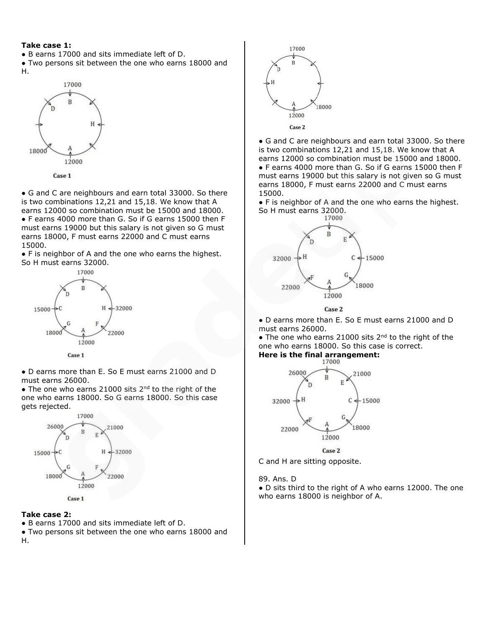#### **Take case 1:**

- B earns 17000 and sits immediate left of D.
- Two persons sit between the one who earns 18000 and H.



Case 1

• G and C are neighbours and earn total 33000. So there is two combinations 12,21 and 15,18. We know that A earns 12000 so combination must be 15000 and 18000. ● F earns 4000 more than G. So if G earns 15000 then F must earns 19000 but this salary is not given so G must earns 18000, F must earns 22000 and C must earns 15000.

● F is neighbor of A and the one who earns the highest. So H must earns 32000.



● D earns more than E. So E must earns 21000 and D must earns 26000.

 $\bullet$  The one who earns 21000 sits 2<sup>nd</sup> to the right of the one who earns 18000. So G earns 18000. So this case gets rejected.



## **Take case 2:**

● B earns 17000 and sits immediate left of D.

● Two persons sit between the one who earns 18000 and H.



• G and C are neighbours and earn total 33000. So there is two combinations 12,21 and 15,18. We know that A earns 12000 so combination must be 15000 and 18000. ● F earns 4000 more than G. So if G earns 15000 then F must earns 19000 but this salary is not given so G must earns 18000, F must earns 22000 and C must earns 15000.

● F is neighbor of A and the one who earns the highest. So H must earns 32000.



● D earns more than E. So E must earns 21000 and D must earns 26000.

 $\bullet$  The one who earns 21000 sits 2<sup>nd</sup> to the right of the one who earns 18000. So this case is correct.



C and H are sitting opposite.

89. Ans. D

● D sits third to the right of A who earns 12000. The one who earns 18000 is neighbor of A.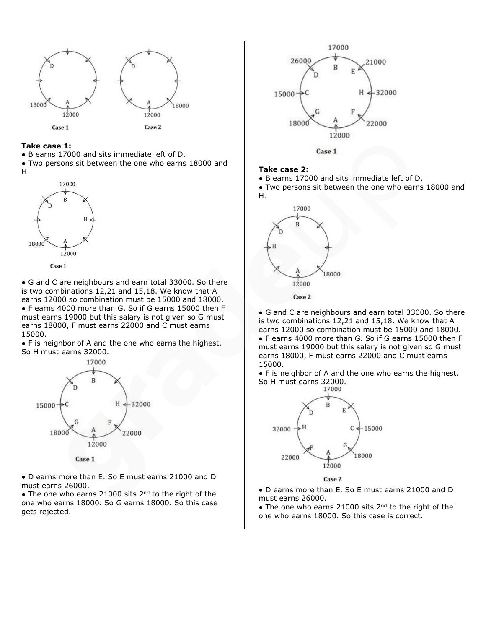

#### **Take case 1:**

● B earns 17000 and sits immediate left of D.

● Two persons sit between the one who earns 18000 and H.





• G and C are neighbours and earn total 33000. So there is two combinations 12,21 and 15,18. We know that A earns 12000 so combination must be 15000 and 18000. ● F earns 4000 more than G. So if G earns 15000 then F must earns 19000 but this salary is not given so G must earns 18000, F must earns 22000 and C must earns 15000.

● F is neighbor of A and the one who earns the highest. So H must earns 32000.



Case 1

● D earns more than E. So E must earns 21000 and D must earns 26000.

 $\bullet$  The one who earns 21000 sits 2<sup>nd</sup> to the right of the one who earns 18000. So G earns 18000. So this case gets rejected.



Case 1

#### **Take case 2:**

● B earns 17000 and sits immediate left of D.

● Two persons sit between the one who earns 18000 and H.



• G and C are neighbours and earn total 33000. So there is two combinations 12,21 and 15,18. We know that A earns 12000 so combination must be 15000 and 18000. ● F earns 4000 more than G. So if G earns 15000 then F must earns 19000 but this salary is not given so G must earns 18000, F must earns 22000 and C must earns 15000.

• F is neighbor of A and the one who earns the highest. So H must earns 32000.



Case 2

● D earns more than E. So E must earns 21000 and D must earns 26000.

• The one who earns 21000 sits  $2^{nd}$  to the right of the one who earns 18000. So this case is correct.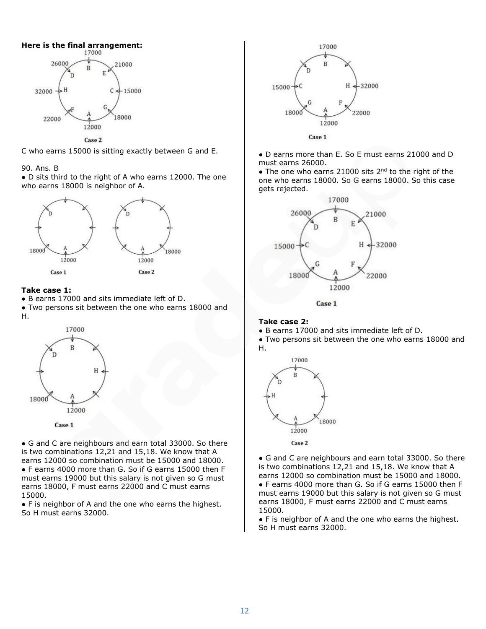



#### 90. Ans. B

● D sits third to the right of A who earns 12000. The one who earns 18000 is neighbor of A.



### **Take case 1:**

- B earns 17000 and sits immediate left of D.
- Two persons sit between the one who earns 18000 and H.



Case 1

• G and C are neighbours and earn total 33000. So there is two combinations 12,21 and 15,18. We know that A earns 12000 so combination must be 15000 and 18000. ● F earns 4000 more than G. So if G earns 15000 then F must earns 19000 but this salary is not given so G must earns 18000, F must earns 22000 and C must earns 15000.

● F is neighbor of A and the one who earns the highest. So H must earns 32000.



● D earns more than E. So E must earns 21000 and D must earns 26000.

 $\bullet$  The one who earns 21000 sits 2<sup>nd</sup> to the right of the one who earns 18000. So G earns 18000. So this case gets rejected.



Case 1

#### **Take case 2:**

● B earns 17000 and sits immediate left of D.

● Two persons sit between the one who earns 18000 and H.



● G and C are neighbours and earn total 33000. So there is two combinations 12,21 and 15,18. We know that A earns 12000 so combination must be 15000 and 18000. ● F earns 4000 more than G. So if G earns 15000 then F must earns 19000 but this salary is not given so G must earns 18000, F must earns 22000 and C must earns 15000.

● F is neighbor of A and the one who earns the highest. So H must earns 32000.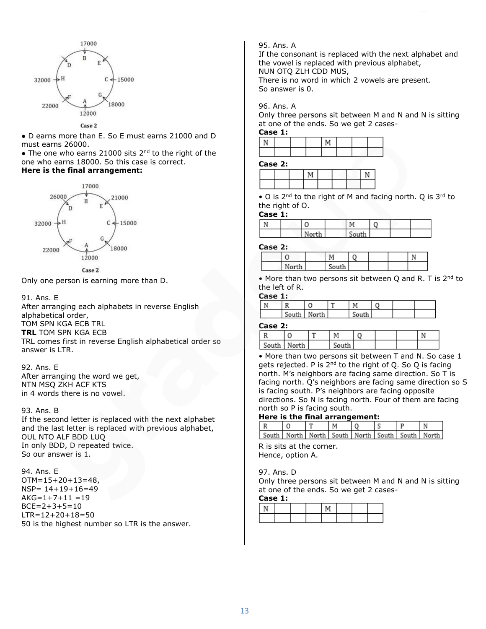

● D earns more than E. So E must earns 21000 and D must earns 26000.

 $\bullet$  The one who earns 21000 sits 2<sup>nd</sup> to the right of the one who earns 18000. So this case is correct.

# **Here is the final arrangement:**



Only one person is earning more than D.

## 91. Ans. E

After arranging each alphabets in reverse English alphabetical order, TOM SPN KGA ECB TRL **TRL** TOM SPN KGA ECB TRL comes first in reverse English alphabetical order so answer is LTR.

92. Ans. E After arranging the word we get, NTN MSQ ZKH ACF KTS in 4 words there is no vowel.

93. Ans. B

If the second letter is replaced with the next alphabet and the last letter is replaced with previous alphabet, OUL NTO ALF BDD LUQ In only BDD, D repeated twice. So our answer is 1.

94. Ans. E OTM=15+20+13=48, NSP= 14+19+16=49  $AKG=1+7+11 = 19$  $BCE = 2 + 3 + 5 = 10$ LTR=12+20+18=50 50 is the highest number so LTR is the answer.

## 95. Ans. A

If the consonant is replaced with the next alphabet and the vowel is replaced with previous alphabet, NUN OTQ ZLH CDD MUS, There is no word in which 2 vowels are present.

So answer is 0.

### 96. Ans. A

Only three persons sit between M and N and N is sitting at one of the ends. So we get 2 cases-

#### **Case 1:**

#### **Case 2:**

| ----- - |  |  |  |  |  |  |  |  |  |  |  |
|---------|--|--|--|--|--|--|--|--|--|--|--|
|         |  |  |  |  |  |  |  |  |  |  |  |
|         |  |  |  |  |  |  |  |  |  |  |  |

 $\bullet$  O is 2<sup>nd</sup> to the right of M and facing north. Q is 3<sup>rd</sup> to the right of O.

#### **Case 1:**

| M |       | The   |  |  |
|---|-------|-------|--|--|
|   | North | South |  |  |

#### **Case 2:**

| $\mathbb{R}^n$ | $\sim$ $\sim$<br>`` |  |  |
|----------------|---------------------|--|--|

• More than two persons sit between Q and R. T is 2<sup>nd</sup> to the left of R.

#### **Case 1:**

| D |               | . . |       |  |  |
|---|---------------|-----|-------|--|--|
|   | South   North |     | South |  |  |

#### **Case 2:**

| - - - -                |  |  |  |  |
|------------------------|--|--|--|--|
|                        |  |  |  |  |
| c<br>التقويم والمستندر |  |  |  |  |
|                        |  |  |  |  |

• More than two persons sit between T and N. So case 1 gets rejected. P is  $2^{nd}$  to the right of Q. So Q is facing north. M's neighbors are facing same direction. So T is facing north. Q's neighbors are facing same direction so S is facing south. P's neighbors are facing opposite directions. So N is facing north. Four of them are facing north so P is facing south.

#### **Here is the final arrangement:**

| South   North   North   South   North   South   South   North |  |  |  |  |
|---------------------------------------------------------------|--|--|--|--|

R is sits at the corner. Hence, option A.

97. Ans. D

Only three persons sit between M and N and N is sitting at one of the ends. So we get 2 cases-

#### **Case 1:**

|  |  | - |  |  |
|--|--|---|--|--|
|  |  |   |  |  |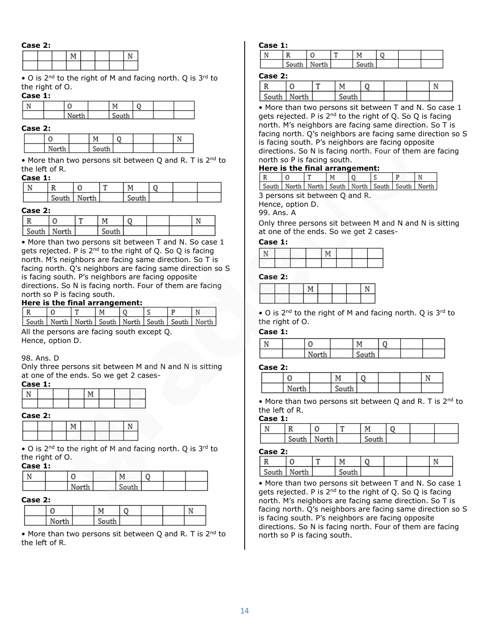#### **Case 2:**

• O is 2<sup>nd</sup> to the right of M and facing north. Q is 3<sup>rd</sup> to the right of O.

### **Case 1:**

#### **Case 2:**

|                 |                    |  | $\ddot{\phantom{1}}$ |
|-----------------|--------------------|--|----------------------|
| M<br>للمحاد<br> | -<br>$-1$<br>5011- |  |                      |

• More than two persons sit between Q and R. T is  $2^{nd}$  to the left of R.

#### **Case 1:**

| $\sim$<br>$-1$ |  | $\sim$ |  |  |
|----------------|--|--------|--|--|

#### **Case 2:**

| -------         |  |       |  |  |
|-----------------|--|-------|--|--|
|                 |  |       |  |  |
| - South   North |  | זווחר |  |  |

• More than two persons sit between T and N. So case 1 gets rejected. P is  $2^{nd}$  to the right of Q. So Q is facing north. M's neighbors are facing same direction. So T is facing north. Q's neighbors are facing same direction so S is facing south. P's neighbors are facing opposite directions. So N is facing north. Four of them are facing north so P is facing south.

## **Here is the final arrangement:**

|  |  | М | 0                                                             |  |  |
|--|--|---|---------------------------------------------------------------|--|--|
|  |  |   | South   North   North   South   North   South   South   North |  |  |

All the persons are facing south except Q. Hence, option D.

#### 98. Ans. D

Only three persons sit between M and N and N is sitting at one of the ends. So we get 2 cases-

## **Case 1:**

| ∽<br><br>- |  |  |  |  |  |  |  |  |  |
|------------|--|--|--|--|--|--|--|--|--|

| Case 2: |  |  |  |  |
|---------|--|--|--|--|
|         |  |  |  |  |
|         |  |  |  |  |

• O is  $2^{nd}$  to the right of M and facing north. Q is  $3^{rd}$  to the right of O.

## **Case 1:**

|  |       | м     |  |  |
|--|-------|-------|--|--|
|  | North | South |  |  |

#### **Case 2:**

|       | M                                       |  |  |
|-------|-----------------------------------------|--|--|
| North | $\mathcal{C}$ and $\mathcal{C}$<br>5011 |  |  |

• More than two persons sit between Q and R. T is 2<sup>nd</sup> to the left of R.

#### **Case 1:**

| casc |   |     |   |  |  |
|------|---|-----|---|--|--|
|      |   | . T |   |  |  |
|      | c |     | ∽ |  |  |

#### **Case 2:**

|       |       | -- |       |  |  |
|-------|-------|----|-------|--|--|
| South | North |    | South |  |  |

• More than two persons sit between T and N. So case 1 gets rejected. P is  $2^{nd}$  to the right of Q. So Q is facing north. M's neighbors are facing same direction. So T is facing north. Q's neighbors are facing same direction so S is facing south. P's neighbors are facing opposite directions. So N is facing north. Four of them are facing north so P is facing south.

#### **Here is the final arrangement:**

|                                                               |  | M |  |  |
|---------------------------------------------------------------|--|---|--|--|
| South   North   North   South   North   South   South   North |  |   |  |  |

3 persons sit between Q and R.

Hence, option D.

99. Ans. A

Only three persons sit between M and N and N is sitting at one of the ends. So we get 2 cases-

## **Case 1:**

#### **Case 2:**

|  | <b>N.F</b> |  |  |
|--|------------|--|--|
|  |            |  |  |

• O is  $2^{nd}$  to the right of M and facing north. Q is  $3^{rd}$  to the right of O.

## **Case 1:**

|  | u     | М     |  |  |
|--|-------|-------|--|--|
|  | North | South |  |  |

#### **Case 2:**

| Norti | $C = 1$<br>501. |  |  |
|-------|-----------------|--|--|

• More than two persons sit between Q and R. T is 2<sup>nd</sup> to the left of R.

#### **Case 1:**

|       |       | ᡣ |       |  |  |
|-------|-------|---|-------|--|--|
| South | North |   | South |  |  |

### **Case 2:**

|               | ∼ |       |  |  |
|---------------|---|-------|--|--|
| South   North |   | South |  |  |

• More than two persons sit between T and N. So case 1 gets rejected. P is  $2^{nd}$  to the right of Q. So Q is facing north. M's neighbors are facing same direction. So T is facing north. Q's neighbors are facing same direction so S is facing south. P's neighbors are facing opposite directions. So N is facing north. Four of them are facing north so P is facing south.